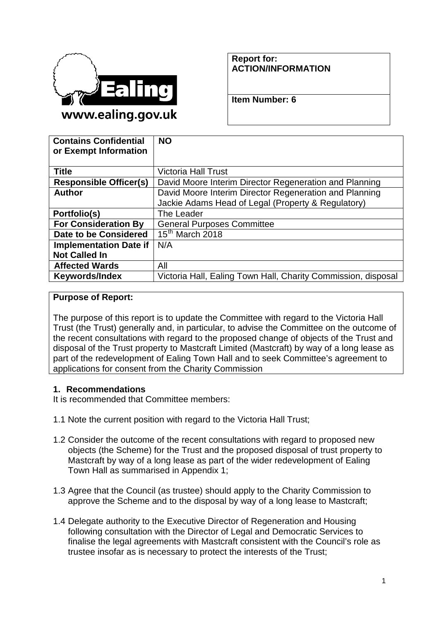

#### **Report for: ACTION/INFORMATION**

**Item Number: 6**

| <b>Contains Confidential</b><br>or Exempt Information | <b>NO</b>                                                     |
|-------------------------------------------------------|---------------------------------------------------------------|
|                                                       |                                                               |
| Title                                                 | <b>Victoria Hall Trust</b>                                    |
| <b>Responsible Officer(s)</b>                         | David Moore Interim Director Regeneration and Planning        |
| Author                                                | David Moore Interim Director Regeneration and Planning        |
|                                                       | Jackie Adams Head of Legal (Property & Regulatory)            |
| Portfolio(s)                                          | The Leader                                                    |
| <b>For Consideration By</b>                           | <b>General Purposes Committee</b>                             |
| Date to be Considered                                 | $15th$ March 2018                                             |
| <b>Implementation Date if</b>                         | N/A                                                           |
| <b>Not Called In</b>                                  |                                                               |
| <b>Affected Wards</b>                                 | All                                                           |
| Keywords/Index                                        | Victoria Hall, Ealing Town Hall, Charity Commission, disposal |

#### **Purpose of Report:**

The purpose of this report is to update the Committee with regard to the Victoria Hall Trust (the Trust) generally and, in particular, to advise the Committee on the outcome of the recent consultations with regard to the proposed change of objects of the Trust and disposal of the Trust property to Mastcraft Limited (Mastcraft) by way of a long lease as part of the redevelopment of Ealing Town Hall and to seek Committee's agreement to applications for consent from the Charity Commission

### **1. Recommendations**

It is recommended that Committee members:

- 1.1 Note the current position with regard to the Victoria Hall Trust;
- 1.2 Consider the outcome of the recent consultations with regard to proposed new objects (the Scheme) for the Trust and the proposed disposal of trust property to Mastcraft by way of a long lease as part of the wider redevelopment of Ealing Town Hall as summarised in Appendix 1;
- 1.3 Agree that the Council (as trustee) should apply to the Charity Commission to approve the Scheme and to the disposal by way of a long lease to Mastcraft;
- 1.4 Delegate authority to the Executive Director of Regeneration and Housing following consultation with the Director of Legal and Democratic Services to finalise the legal agreements with Mastcraft consistent with the Council's role as trustee insofar as is necessary to protect the interests of the Trust;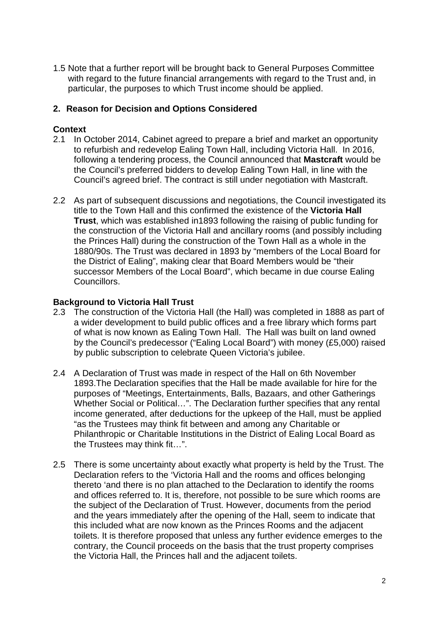1.5 Note that a further report will be brought back to General Purposes Committee with regard to the future financial arrangements with regard to the Trust and, in particular, the purposes to which Trust income should be applied.

#### **2. Reason for Decision and Options Considered**

#### **Context**

- 2.1 In October 2014, Cabinet agreed to prepare a brief and market an opportunity to refurbish and redevelop Ealing Town Hall, including Victoria Hall. In 2016, following a tendering process, the Council announced that **Mastcraft** would be the Council's preferred bidders to develop Ealing Town Hall, in line with the Council's agreed brief. The contract is still under negotiation with Mastcraft.
- 2.2 As part of subsequent discussions and negotiations, the Council investigated its title to the Town Hall and this confirmed the existence of the **Victoria Hall Trust**, which was established in1893 following the raising of public funding for the construction of the Victoria Hall and ancillary rooms (and possibly including the Princes Hall) during the construction of the Town Hall as a whole in the 1880/90s. The Trust was declared in 1893 by "members of the Local Board for the District of Ealing", making clear that Board Members would be "their successor Members of the Local Board", which became in due course Ealing Councillors.

#### **Background to Victoria Hall Trust**

- 2.3 The construction of the Victoria Hall (the Hall) was completed in 1888 as part of a wider development to build public offices and a free library which forms part of what is now known as Ealing Town Hall. The Hall was built on land owned by the Council's predecessor ("Ealing Local Board") with money (£5,000) raised by public subscription to celebrate Queen Victoria's jubilee.
- 2.4 A Declaration of Trust was made in respect of the Hall on 6th November 1893.The Declaration specifies that the Hall be made available for hire for the purposes of "Meetings, Entertainments, Balls, Bazaars, and other Gatherings Whether Social or Political…". The Declaration further specifies that any rental income generated, after deductions for the upkeep of the Hall, must be applied "as the Trustees may think fit between and among any Charitable or Philanthropic or Charitable Institutions in the District of Ealing Local Board as the Trustees may think fit…".
- 2.5 There is some uncertainty about exactly what property is held by the Trust. The Declaration refers to the 'Victoria Hall and the rooms and offices belonging thereto 'and there is no plan attached to the Declaration to identify the rooms and offices referred to. It is, therefore, not possible to be sure which rooms are the subject of the Declaration of Trust. However, documents from the period and the years immediately after the opening of the Hall, seem to indicate that this included what are now known as the Princes Rooms and the adjacent toilets. It is therefore proposed that unless any further evidence emerges to the contrary, the Council proceeds on the basis that the trust property comprises the Victoria Hall, the Princes hall and the adjacent toilets.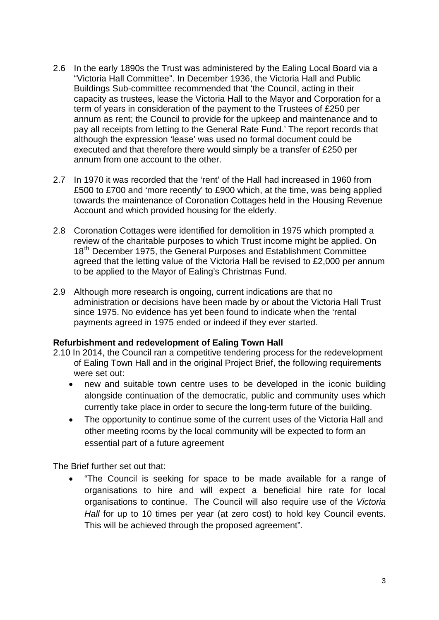- 2.6 In the early 1890s the Trust was administered by the Ealing Local Board via a "Victoria Hall Committee". In December 1936, the Victoria Hall and Public Buildings Sub-committee recommended that 'the Council, acting in their capacity as trustees, lease the Victoria Hall to the Mayor and Corporation for a term of years in consideration of the payment to the Trustees of £250 per annum as rent; the Council to provide for the upkeep and maintenance and to pay all receipts from letting to the General Rate Fund.' The report records that although the expression 'lease' was used no formal document could be executed and that therefore there would simply be a transfer of £250 per annum from one account to the other.
- 2.7 In 1970 it was recorded that the 'rent' of the Hall had increased in 1960 from £500 to £700 and 'more recently' to £900 which, at the time, was being applied towards the maintenance of Coronation Cottages held in the Housing Revenue Account and which provided housing for the elderly.
- 2.8 Coronation Cottages were identified for demolition in 1975 which prompted a review of the charitable purposes to which Trust income might be applied. On 18<sup>th</sup> December 1975, the General Purposes and Establishment Committee agreed that the letting value of the Victoria Hall be revised to £2,000 per annum to be applied to the Mayor of Ealing's Christmas Fund.
- 2.9 Although more research is ongoing, current indications are that no administration or decisions have been made by or about the Victoria Hall Trust since 1975. No evidence has yet been found to indicate when the 'rental payments agreed in 1975 ended or indeed if they ever started.

### **Refurbishment and redevelopment of Ealing Town Hall**

- 2.10 In 2014, the Council ran a competitive tendering process for the redevelopment of Ealing Town Hall and in the original Project Brief, the following requirements were set out:
	- new and suitable town centre uses to be developed in the iconic building alongside continuation of the democratic, public and community uses which currently take place in order to secure the long-term future of the building.
	- The opportunity to continue some of the current uses of the Victoria Hall and other meeting rooms by the local community will be expected to form an essential part of a future agreement

The Brief further set out that:

• "The Council is seeking for space to be made available for a range of organisations to hire and will expect a beneficial hire rate for local organisations to continue. The Council will also require use of the *Victoria Hall* for up to 10 times per year (at zero cost) to hold key Council events. This will be achieved through the proposed agreement".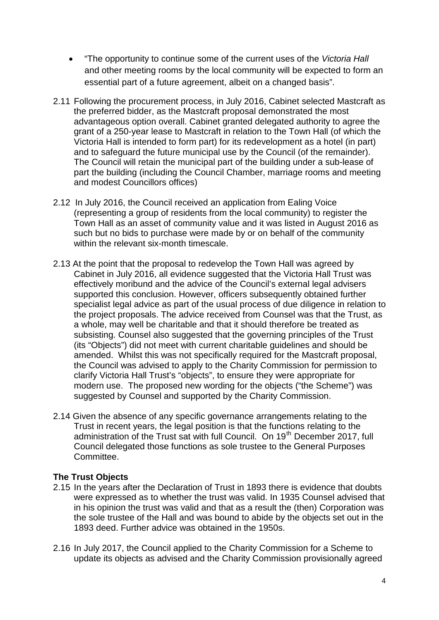- "The opportunity to continue some of the current uses of the *Victoria Hall* and other meeting rooms by the local community will be expected to form an essential part of a future agreement, albeit on a changed basis".
- 2.11 Following the procurement process, in July 2016, Cabinet selected Mastcraft as the preferred bidder, as the Mastcraft proposal demonstrated the most advantageous option overall. Cabinet granted delegated authority to agree the grant of a 250-year lease to Mastcraft in relation to the Town Hall (of which the Victoria Hall is intended to form part) for its redevelopment as a hotel (in part) and to safeguard the future municipal use by the Council (of the remainder). The Council will retain the municipal part of the building under a sub-lease of part the building (including the Council Chamber, marriage rooms and meeting and modest Councillors offices)
- 2.12 In July 2016, the Council received an application from Ealing Voice (representing a group of residents from the local community) to register the Town Hall as an asset of community value and it was listed in August 2016 as such but no bids to purchase were made by or on behalf of the community within the relevant six-month timescale.
- 2.13 At the point that the proposal to redevelop the Town Hall was agreed by Cabinet in July 2016, all evidence suggested that the Victoria Hall Trust was effectively moribund and the advice of the Council's external legal advisers supported this conclusion. However, officers subsequently obtained further specialist legal advice as part of the usual process of due diligence in relation to the project proposals. The advice received from Counsel was that the Trust, as a whole, may well be charitable and that it should therefore be treated as subsisting. Counsel also suggested that the governing principles of the Trust (its "Objects") did not meet with current charitable guidelines and should be amended. Whilst this was not specifically required for the Mastcraft proposal, the Council was advised to apply to the Charity Commission for permission to clarify Victoria Hall Trust's "objects", to ensure they were appropriate for modern use. The proposed new wording for the objects ("the Scheme") was suggested by Counsel and supported by the Charity Commission.
- 2.14 Given the absence of any specific governance arrangements relating to the Trust in recent years, the legal position is that the functions relating to the administration of the Trust sat with full Council. On 19<sup>th</sup> December 2017, full Council delegated those functions as sole trustee to the General Purposes Committee.

### **The Trust Objects**

- 2.15 In the years after the Declaration of Trust in 1893 there is evidence that doubts were expressed as to whether the trust was valid. In 1935 Counsel advised that in his opinion the trust was valid and that as a result the (then) Corporation was the sole trustee of the Hall and was bound to abide by the objects set out in the 1893 deed. Further advice was obtained in the 1950s.
- 2.16 In July 2017, the Council applied to the Charity Commission for a Scheme to update its objects as advised and the Charity Commission provisionally agreed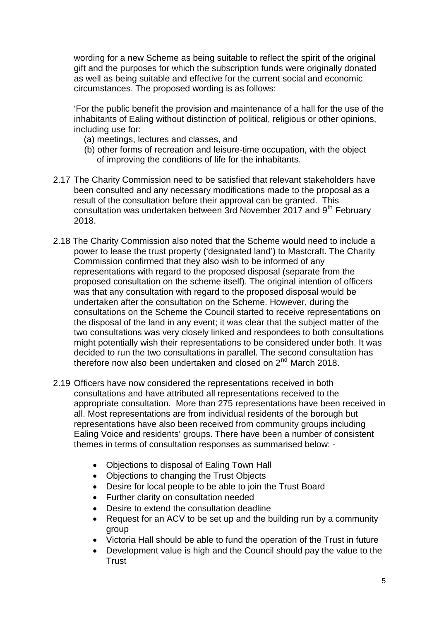wording for a new Scheme as being suitable to reflect the spirit of the original gift and the purposes for which the subscription funds were originally donated as well as being suitable and effective for the current social and economic circumstances. The proposed wording is as follows:

'For the public benefit the provision and maintenance of a hall for the use of the inhabitants of Ealing without distinction of political, religious or other opinions, including use for:

- (a) meetings, lectures and classes, and
- (b) other forms of recreation and leisure-time occupation, with the object of improving the conditions of life for the inhabitants.
- 2.17 The Charity Commission need to be satisfied that relevant stakeholders have been consulted and any necessary modifications made to the proposal as a result of the consultation before their approval can be granted. This consultation was undertaken between 3rd November 2017 and 9<sup>th</sup> February 2018.
- 2.18 The Charity Commission also noted that the Scheme would need to include a power to lease the trust property ('designated land') to Mastcraft. The Charity Commission confirmed that they also wish to be informed of any representations with regard to the proposed disposal (separate from the proposed consultation on the scheme itself). The original intention of officers was that any consultation with regard to the proposed disposal would be undertaken after the consultation on the Scheme. However, during the consultations on the Scheme the Council started to receive representations on the disposal of the land in any event; it was clear that the subject matter of the two consultations was very closely linked and respondees to both consultations might potentially wish their representations to be considered under both. It was decided to run the two consultations in parallel. The second consultation has therefore now also been undertaken and closed on 2<sup>nd</sup> March 2018.
- 2.19 Officers have now considered the representations received in both consultations and have attributed all representations received to the appropriate consultation. More than 275 representations have been received in all. Most representations are from individual residents of the borough but representations have also been received from community groups including Ealing Voice and residents' groups. There have been a number of consistent themes in terms of consultation responses as summarised below: -
	- Objections to disposal of Ealing Town Hall
	- Objections to changing the Trust Objects
	- Desire for local people to be able to join the Trust Board
	- Further clarity on consultation needed
	- Desire to extend the consultation deadline
	- Request for an ACV to be set up and the building run by a community group
	- Victoria Hall should be able to fund the operation of the Trust in future
	- Development value is high and the Council should pay the value to the **Trust**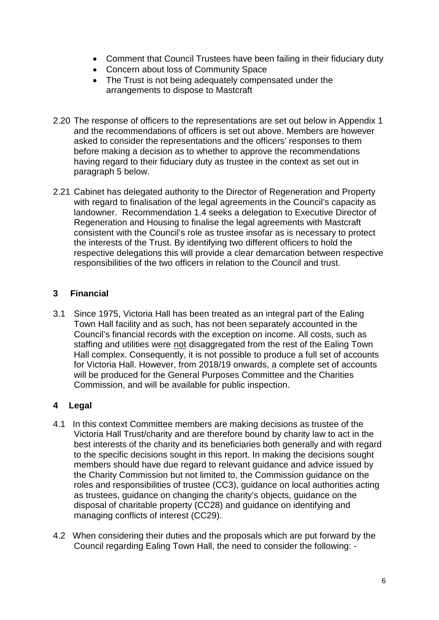- Comment that Council Trustees have been failing in their fiduciary duty
- Concern about loss of Community Space
- The Trust is not being adequately compensated under the arrangements to dispose to Mastcraft
- 2.20 The response of officers to the representations are set out below in Appendix 1 and the recommendations of officers is set out above. Members are however asked to consider the representations and the officers' responses to them before making a decision as to whether to approve the recommendations having regard to their fiduciary duty as trustee in the context as set out in paragraph 5 below.
- 2.21 Cabinet has delegated authority to the Director of Regeneration and Property with regard to finalisation of the legal agreements in the Council's capacity as landowner. Recommendation 1.4 seeks a delegation to Executive Director of Regeneration and Housing to finalise the legal agreements with Mastcraft consistent with the Council's role as trustee insofar as is necessary to protect the interests of the Trust. By identifying two different officers to hold the respective delegations this will provide a clear demarcation between respective responsibilities of the two officers in relation to the Council and trust.

## **3 Financial**

3.1 Since 1975, Victoria Hall has been treated as an integral part of the Ealing Town Hall facility and as such, has not been separately accounted in the Council's financial records with the exception on income. All costs, such as staffing and utilities were not disaggregated from the rest of the Ealing Town Hall complex. Consequently, it is not possible to produce a full set of accounts for Victoria Hall. However, from 2018/19 onwards, a complete set of accounts will be produced for the General Purposes Committee and the Charities Commission, and will be available for public inspection.

## **4 Legal**

- 4.1 In this context Committee members are making decisions as trustee of the Victoria Hall Trust/charity and are therefore bound by charity law to act in the best interests of the charity and its beneficiaries both generally and with regard to the specific decisions sought in this report. In making the decisions sought members should have due regard to relevant guidance and advice issued by the Charity Commission but not limited to, the Commission guidance on the roles and responsibilities of trustee (CC3), guidance on local authorities acting as trustees, guidance on changing the charity's objects, guidance on the disposal of charitable property (CC28) and guidance on identifying and managing conflicts of interest (CC29).
- 4.2 When considering their duties and the proposals which are put forward by the Council regarding Ealing Town Hall, the need to consider the following: -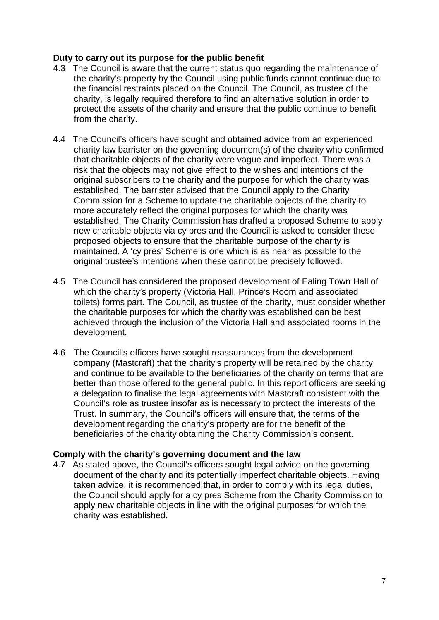#### **Duty to carry out its purpose for the public benefit**

- 4.3 The Council is aware that the current status quo regarding the maintenance of the charity's property by the Council using public funds cannot continue due to the financial restraints placed on the Council. The Council, as trustee of the charity, is legally required therefore to find an alternative solution in order to protect the assets of the charity and ensure that the public continue to benefit from the charity.
- 4.4 The Council's officers have sought and obtained advice from an experienced charity law barrister on the governing document(s) of the charity who confirmed that charitable objects of the charity were vague and imperfect. There was a risk that the objects may not give effect to the wishes and intentions of the original subscribers to the charity and the purpose for which the charity was established. The barrister advised that the Council apply to the Charity Commission for a Scheme to update the charitable objects of the charity to more accurately reflect the original purposes for which the charity was established. The Charity Commission has drafted a proposed Scheme to apply new charitable objects via cy pres and the Council is asked to consider these proposed objects to ensure that the charitable purpose of the charity is maintained. A 'cy pres' Scheme is one which is as near as possible to the original trustee's intentions when these cannot be precisely followed.
- 4.5 The Council has considered the proposed development of Ealing Town Hall of which the charity's property (Victoria Hall, Prince's Room and associated toilets) forms part. The Council, as trustee of the charity, must consider whether the charitable purposes for which the charity was established can be best achieved through the inclusion of the Victoria Hall and associated rooms in the development.
- 4.6 The Council's officers have sought reassurances from the development company (Mastcraft) that the charity's property will be retained by the charity and continue to be available to the beneficiaries of the charity on terms that are better than those offered to the general public. In this report officers are seeking a delegation to finalise the legal agreements with Mastcraft consistent with the Council's role as trustee insofar as is necessary to protect the interests of the Trust. In summary, the Council's officers will ensure that, the terms of the development regarding the charity's property are for the benefit of the beneficiaries of the charity obtaining the Charity Commission's consent.

#### **Comply with the charity's governing document and the law**

4.7 As stated above, the Council's officers sought legal advice on the governing document of the charity and its potentially imperfect charitable objects. Having taken advice, it is recommended that, in order to comply with its legal duties, the Council should apply for a cy pres Scheme from the Charity Commission to apply new charitable objects in line with the original purposes for which the charity was established.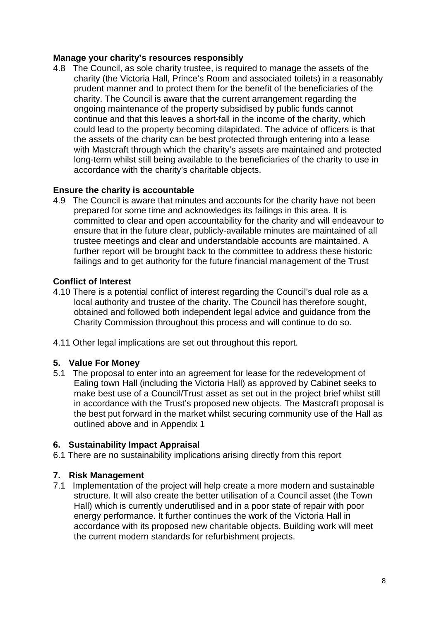#### **Manage your charity's resources responsibly**

4.8 The Council, as sole charity trustee, is required to manage the assets of the charity (the Victoria Hall, Prince's Room and associated toilets) in a reasonably prudent manner and to protect them for the benefit of the beneficiaries of the charity. The Council is aware that the current arrangement regarding the ongoing maintenance of the property subsidised by public funds cannot continue and that this leaves a short-fall in the income of the charity, which could lead to the property becoming dilapidated. The advice of officers is that the assets of the charity can be best protected through entering into a lease with Mastcraft through which the charity's assets are maintained and protected long-term whilst still being available to the beneficiaries of the charity to use in accordance with the charity's charitable objects.

### **Ensure the charity is accountable**

4.9 The Council is aware that minutes and accounts for the charity have not been prepared for some time and acknowledges its failings in this area. It is committed to clear and open accountability for the charity and will endeavour to ensure that in the future clear, publicly-available minutes are maintained of all trustee meetings and clear and understandable accounts are maintained. A further report will be brought back to the committee to address these historic failings and to get authority for the future financial management of the Trust

#### **Conflict of Interest**

- 4.10 There is a potential conflict of interest regarding the Council's dual role as a local authority and trustee of the charity. The Council has therefore sought, obtained and followed both independent legal advice and guidance from the Charity Commission throughout this process and will continue to do so.
- 4.11 Other legal implications are set out throughout this report.

#### **5. Value For Money**

5.1 The proposal to enter into an agreement for lease for the redevelopment of Ealing town Hall (including the Victoria Hall) as approved by Cabinet seeks to make best use of a Council/Trust asset as set out in the project brief whilst still in accordance with the Trust's proposed new objects. The Mastcraft proposal is the best put forward in the market whilst securing community use of the Hall as outlined above and in Appendix 1

#### **6. Sustainability Impact Appraisal**

6.1 There are no sustainability implications arising directly from this report

#### **7. Risk Management**

7.1 Implementation of the project will help create a more modern and sustainable structure. It will also create the better utilisation of a Council asset (the Town Hall) which is currently underutilised and in a poor state of repair with poor energy performance. It further continues the work of the Victoria Hall in accordance with its proposed new charitable objects. Building work will meet the current modern standards for refurbishment projects.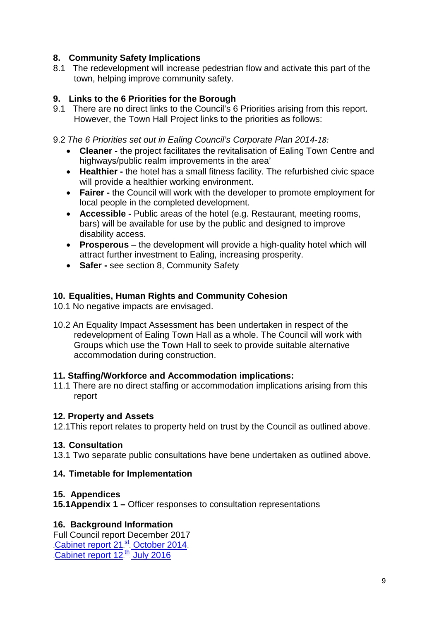## **8. Community Safety Implications**

8.1 The redevelopment will increase pedestrian flow and activate this part of the town, helping improve community safety.

## **9. Links to the 6 Priorities for the Borough**

9.1 There are no direct links to the Council's 6 Priorities arising from this report. However, the Town Hall Project links to the priorities as follows:

9.2 *The 6 Priorities set out in Ealing Council's Corporate Plan 2014-18:*

- **Cleaner -** the project facilitates the revitalisation of Ealing Town Centre and highways/public realm improvements in the area'
- **Healthier -** the hotel has a small fitness facility. The refurbished civic space will provide a healthier working environment.
- **Fairer -** the Council will work with the developer to promote employment for local people in the completed development.
- **Accessible -** Public areas of the hotel (e.g. Restaurant, meeting rooms, bars) will be available for use by the public and designed to improve disability access.
- **Prosperous** the development will provide a high-quality hotel which will attract further investment to Ealing, increasing prosperity.
- **Safer -** see section 8, Community Safety

### **10. Equalities, Human Rights and Community Cohesion**

- 10.1 No negative impacts are envisaged.
- 10.2 An Equality Impact Assessment has been undertaken in respect of the redevelopment of Ealing Town Hall as a whole. The Council will work with Groups which use the Town Hall to seek to provide suitable alternative accommodation during construction.

### **11. Staffing/Workforce and Accommodation implications:**

11.1 There are no direct staffing or accommodation implications arising from this report

#### **12. Property and Assets**

12.1This report relates to property held on trust by the Council as outlined above.

### **13. Consultation**

13.1 Two separate public consultations have bene undertaken as outlined above.

### **14. Timetable for Implementation**

#### **15. Appendices**

**15.1Appendix 1 –** Officer responses to consultation representations

### **16. Background Information**

Full Council report December 2017 [Cabinet report 21](http://ealing.cmis.uk.com/Ealing/Document.ashx?czJKcaeAi5tUFL1DTL2UE4zNRBcoShgo=srATATYBznvHMMzm1f%2bN0Y77YNxzplWaIKjovzcbhxEMJYKx25YZcA%3d%3d&rUzwRPf%2bZ3zd4E7Ikn8Lyw%3d%3d=pwRE6AGJFLDNlh225F5QMaQWCtPHwdhUfCZ%2fLUQzgA2uL5jNRG4jdQ%3d%3d&mCTIbCubSFfXsDGW9IXnlg%3d%3d=hFflUdN3100%3d&kCx1AnS9%2fpWZQ40DXFvdEw%3d%3d=hFflUdN3100%3d&uJovDxwdjMPoYv%2bAJvYtyA%3d%3d=ctNJFf55vVA%3d&FgPlIEJYlotS%2bYGoBi5olA%3d%3d=NHdURQburHA%3d&d9Qjj0ag1Pd993jsyOJqFvmyB7X0CSQK=ctNJFf55vVA%3d&WGewmoAfeNR9xqBux0r1Q8Za60lavYmz=ctNJFf55vVA%3d&WGewmoAfeNQ16B2MHuCpMRKZMwaG1PaO=ctNJFf55vVA%3d)<sup>st</sup> October 2014 [Cabinet report 12](http://ealing.cmis.uk.com/Ealing/Document.ashx?czJKcaeAi5tUFL1DTL2UE4zNRBcoShgo=OCxSuU7OsnEhoYUUliFYu9Y1k33wQT0%2fz5U8bSOMMpG9umIx53RrWw%3d%3d&rUzwRPf%2bZ3zd4E7Ikn8Lyw%3d%3d=pwRE6AGJFLDNlh225F5QMaQWCtPHwdhUfCZ%2fLUQzgA2uL5jNRG4jdQ%3d%3d&mCTIbCubSFfXsDGW9IXnlg%3d%3d=hFflUdN3100%3d&kCx1AnS9%2fpWZQ40DXFvdEw%3d%3d=hFflUdN3100%3d&uJovDxwdjMPoYv%2bAJvYtyA%3d%3d=ctNJFf55vVA%3d&FgPlIEJYlotS%2bYGoBi5olA%3d%3d=NHdURQburHA%3d&d9Qjj0ag1Pd993jsyOJqFvmyB7X0CSQK=ctNJFf55vVA%3d&WGewmoAfeNR9xqBux0r1Q8Za60lavYmz=ctNJFf55vVA%3d&WGewmoAfeNQ16B2MHuCpMRKZMwaG1PaO=ctNJFf55vVA%3d)<sup>th</sup> July 2016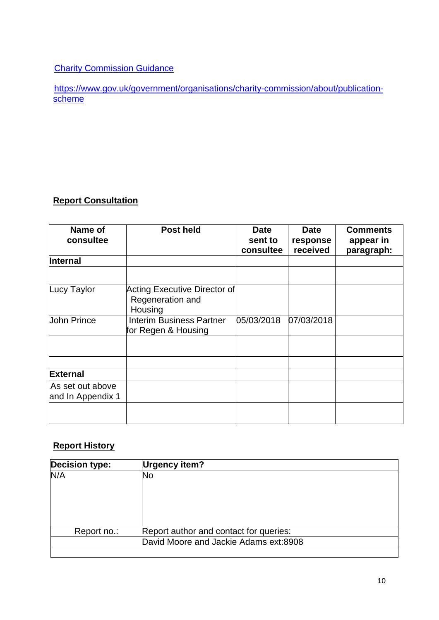## **Charity Commission Guidance**

[https://www.gov.uk/government/organisations/charity-commission/about/publication](https://www.gov.uk/government/organisations/charity-commission/about/publication-scheme)**[scheme](https://www.gov.uk/government/organisations/charity-commission/about/publication-scheme)** 

# **Report Consultation**

| Name of<br>consultee                  | <b>Post held</b>                                            | <b>Date</b><br>sent to<br>consultee | <b>Date</b><br>response<br>received | <b>Comments</b><br>appear in<br>paragraph: |
|---------------------------------------|-------------------------------------------------------------|-------------------------------------|-------------------------------------|--------------------------------------------|
| <b>Internal</b>                       |                                                             |                                     |                                     |                                            |
|                                       |                                                             |                                     |                                     |                                            |
| Lucy Taylor                           | Acting Executive Director of<br>Regeneration and<br>Housing |                                     |                                     |                                            |
| <b>John Prince</b>                    | Interim Business Partner<br>for Regen & Housing             | 05/03/2018                          | 07/03/2018                          |                                            |
|                                       |                                                             |                                     |                                     |                                            |
|                                       |                                                             |                                     |                                     |                                            |
| <b>External</b>                       |                                                             |                                     |                                     |                                            |
| As set out above<br>and In Appendix 1 |                                                             |                                     |                                     |                                            |
|                                       |                                                             |                                     |                                     |                                            |

## **Report History**

| <b>Decision type:</b> | <b>Urgency item?</b>                   |
|-----------------------|----------------------------------------|
| N/A                   | No                                     |
|                       |                                        |
|                       |                                        |
|                       |                                        |
|                       |                                        |
| Report no.:           | Report author and contact for queries: |
|                       | David Moore and Jackie Adams ext:8908  |
|                       |                                        |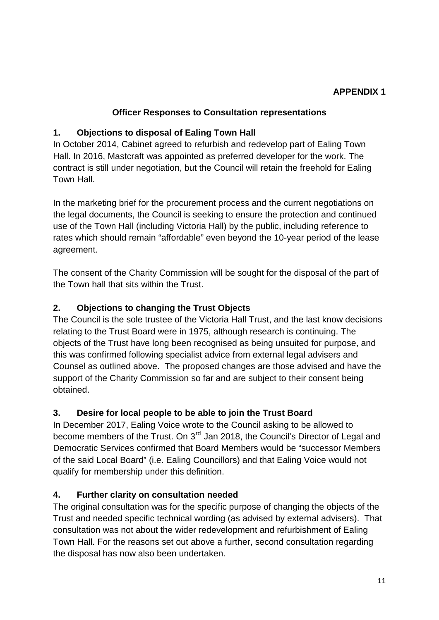## **APPENDIX 1**

## **Officer Responses to Consultation representations**

## **1. Objections to disposal of Ealing Town Hall**

In October 2014, Cabinet agreed to refurbish and redevelop part of Ealing Town Hall. In 2016, Mastcraft was appointed as preferred developer for the work. The contract is still under negotiation, but the Council will retain the freehold for Ealing Town Hall.

In the marketing brief for the procurement process and the current negotiations on the legal documents, the Council is seeking to ensure the protection and continued use of the Town Hall (including Victoria Hall) by the public, including reference to rates which should remain "affordable" even beyond the 10-year period of the lease agreement.

The consent of the Charity Commission will be sought for the disposal of the part of the Town hall that sits within the Trust.

## **2. Objections to changing the Trust Objects**

The Council is the sole trustee of the Victoria Hall Trust, and the last know decisions relating to the Trust Board were in 1975, although research is continuing. The objects of the Trust have long been recognised as being unsuited for purpose, and this was confirmed following specialist advice from external legal advisers and Counsel as outlined above. The proposed changes are those advised and have the support of the Charity Commission so far and are subject to their consent being obtained.

### **3. Desire for local people to be able to join the Trust Board**

In December 2017, Ealing Voice wrote to the Council asking to be allowed to become members of the Trust. On 3<sup>rd</sup> Jan 2018, the Council's Director of Legal and Democratic Services confirmed that Board Members would be "successor Members of the said Local Board" (i.e. Ealing Councillors) and that Ealing Voice would not qualify for membership under this definition.

### **4. Further clarity on consultation needed**

The original consultation was for the specific purpose of changing the objects of the Trust and needed specific technical wording (as advised by external advisers). That consultation was not about the wider redevelopment and refurbishment of Ealing Town Hall. For the reasons set out above a further, second consultation regarding the disposal has now also been undertaken.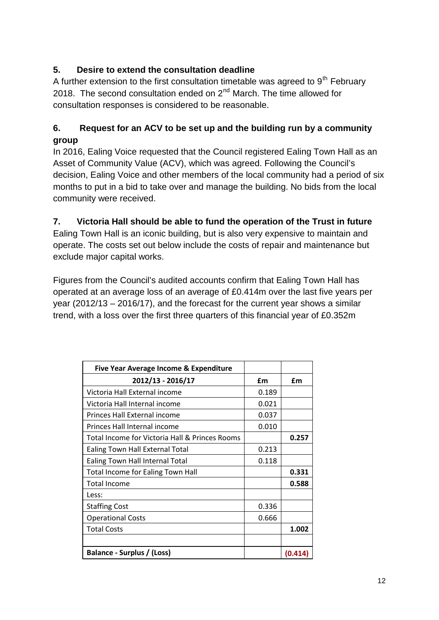# **5. Desire to extend the consultation deadline**

A further extension to the first consultation timetable was agreed to  $9<sup>th</sup>$  February 2018. The second consultation ended on  $2<sup>nd</sup>$  March. The time allowed for consultation responses is considered to be reasonable.

## **6. Request for an ACV to be set up and the building run by a community group**

In 2016, Ealing Voice requested that the Council registered Ealing Town Hall as an Asset of Community Value (ACV), which was agreed. Following the Council's decision, Ealing Voice and other members of the local community had a period of six months to put in a bid to take over and manage the building. No bids from the local community were received.

## **7. Victoria Hall should be able to fund the operation of the Trust in future**

Ealing Town Hall is an iconic building, but is also very expensive to maintain and operate. The costs set out below include the costs of repair and maintenance but exclude major capital works.

Figures from the Council's audited accounts confirm that Ealing Town Hall has operated at an average loss of an average of £0.414m over the last five years per year (2012/13 – 2016/17), and the forecast for the current year shows a similar trend, with a loss over the first three quarters of this financial year of £0.352m

| Five Year Average Income & Expenditure         |       |         |
|------------------------------------------------|-------|---------|
| 2012/13 - 2016/17                              | £m    | £m      |
| Victoria Hall External income                  | 0.189 |         |
| Victoria Hall Internal income                  | 0.021 |         |
| Princes Hall External income                   | 0.037 |         |
| Princes Hall Internal income                   | 0.010 |         |
| Total Income for Victoria Hall & Princes Rooms |       | 0.257   |
| Ealing Town Hall External Total                | 0.213 |         |
| Ealing Town Hall Internal Total                | 0.118 |         |
| <b>Total Income for Ealing Town Hall</b>       |       | 0.331   |
| <b>Total Income</b>                            |       | 0.588   |
| Less:                                          |       |         |
| <b>Staffing Cost</b>                           | 0.336 |         |
| <b>Operational Costs</b>                       | 0.666 |         |
| <b>Total Costs</b>                             |       | 1.002   |
|                                                |       |         |
| Balance - Surplus / (Loss)                     |       | (0.414) |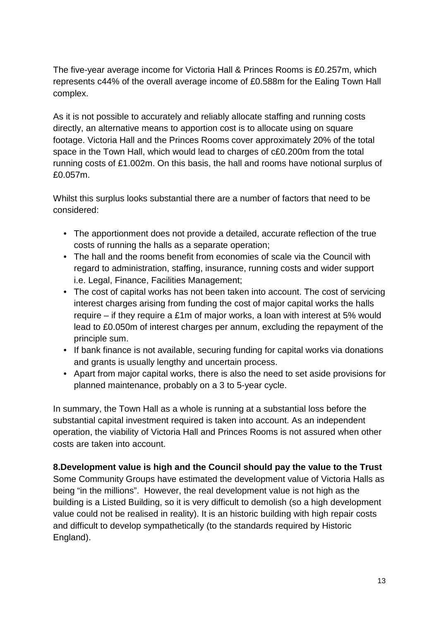The five-year average income for Victoria Hall & Princes Rooms is £0.257m, which represents c44% of the overall average income of £0.588m for the Ealing Town Hall complex.

As it is not possible to accurately and reliably allocate staffing and running costs directly, an alternative means to apportion cost is to allocate using on square footage. Victoria Hall and the Princes Rooms cover approximately 20% of the total space in the Town Hall, which would lead to charges of c£0.200m from the total running costs of £1.002m. On this basis, the hall and rooms have notional surplus of £0.057m.

Whilst this surplus looks substantial there are a number of factors that need to be considered:

- The apportionment does not provide a detailed, accurate reflection of the true costs of running the halls as a separate operation;
- The hall and the rooms benefit from economies of scale via the Council with regard to administration, staffing, insurance, running costs and wider support i.e. Legal, Finance, Facilities Management;
- The cost of capital works has not been taken into account. The cost of servicing interest charges arising from funding the cost of major capital works the halls require – if they require a £1m of major works, a loan with interest at 5% would lead to £0.050m of interest charges per annum, excluding the repayment of the principle sum.
- If bank finance is not available, securing funding for capital works via donations and grants is usually lengthy and uncertain process.
- Apart from major capital works, there is also the need to set aside provisions for planned maintenance, probably on a 3 to 5-year cycle.

In summary, the Town Hall as a whole is running at a substantial loss before the substantial capital investment required is taken into account. As an independent operation, the viability of Victoria Hall and Princes Rooms is not assured when other costs are taken into account.

### **8.Development value is high and the Council should pay the value to the Trust**

Some Community Groups have estimated the development value of Victoria Halls as being "in the millions". However, the real development value is not high as the building is a Listed Building, so it is very difficult to demolish (so a high development value could not be realised in reality). It is an historic building with high repair costs and difficult to develop sympathetically (to the standards required by Historic England).